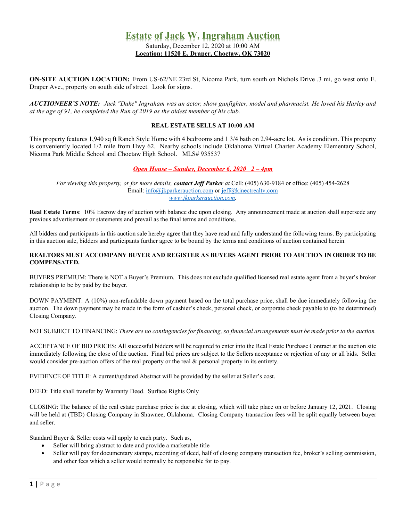## **Estate of Jack W. Ingraham Auction**

Saturday, December 12, 2020 at 10:00 AM **Location: 11520 E. Draper, Choctaw, OK 73020**

**ON-SITE AUCTION LOCATION:** From US-62/NE 23rd St, Nicoma Park, turn south on Nichols Drive .3 mi, go west onto E. Draper Ave., property on south side of street. Look for signs.

AUCTIONEER'S NOTE: Jack "Duke" Ingraham was an actor, show gunfighter, model and pharmacist. He loved his Harley and *at the age of 91, he completed the Run of 2019 as the oldest member of his club.* 

## **REAL ESTATE SELLS AT 10:00 AM**

This property features 1,940 sq ft Ranch Style Home with 4 bedrooms and 1 3/4 bath on 2.94-acre lot. As is condition. This property is conveniently located 1/2 mile from Hwy 62. Nearby schools include Oklahoma Virtual Charter Academy Elementary School, Nicoma Park Middle School and Choctaw High School. MLS# 935537

## *Open House – Sunday, December 6, 2020 2 – 4pm*

*For viewing this property, or for more details, contact Jeff Parker at* Cell: (405) 630-9184 or office: (405) 454-2628 Email: [info@jkparkerauction.com](mailto:info@jkparkerauction.com) or [jeff@kinectrealty.com](mailto:jeff@kinectrealty.com) *[www.jkparkerauction.com.](http://www.jkparkerauction.com/)*

**Real Estate Terms**: 10% Escrow day of auction with balance due upon closing. Any announcement made at auction shall supersede any previous advertisement or statements and prevail as the final terms and conditions.

All bidders and participants in this auction sale hereby agree that they have read and fully understand the following terms. By participating in this auction sale, bidders and participants further agree to be bound by the terms and conditions of auction contained herein.

## **REALTORS MUST ACCOMPANY BUYER AND REGISTER AS BUYERS AGENT PRIOR TO AUCTION IN ORDER TO BE COMPENSATED.**

BUYERS PREMIUM: There is NOT a Buyer's Premium. This does not exclude qualified licensed real estate agent from a buyer's broker relationship to be by paid by the buyer.

DOWN PAYMENT: A (10%) non-refundable down payment based on the total purchase price, shall be due immediately following the auction. The down payment may be made in the form of cashier's check, personal check, or corporate check payable to (to be determined) Closing Company.

NOT SUBJECT TO FINANCING: *There are no contingencies for financing, so financial arrangements must be made prior to the auction.*

ACCEPTANCE OF BID PRICES: All successful bidders will be required to enter into the Real Estate Purchase Contract at the auction site immediately following the close of the auction. Final bid prices are subject to the Sellers acceptance or rejection of any or all bids. Seller would consider pre-auction offers of the real property or the real & personal property in its entirety.

EVIDENCE OF TITLE: A current/updated Abstract will be provided by the seller at Seller's cost.

DEED: Title shall transfer by Warranty Deed. Surface Rights Only

CLOSING: The balance of the real estate purchase price is due at closing, which will take place on or before January 12, 2021. Closing will be held at (TBD) Closing Company in Shawnee, Oklahoma. Closing Company transaction fees will be split equally between buyer and seller.

Standard Buyer & Seller costs will apply to each party. Such as,

- Seller will bring abstract to date and provide a marketable title
- Seller will pay for documentary stamps, recording of deed, half of closing company transaction fee, broker's selling commission, and other fees which a seller would normally be responsible for to pay.